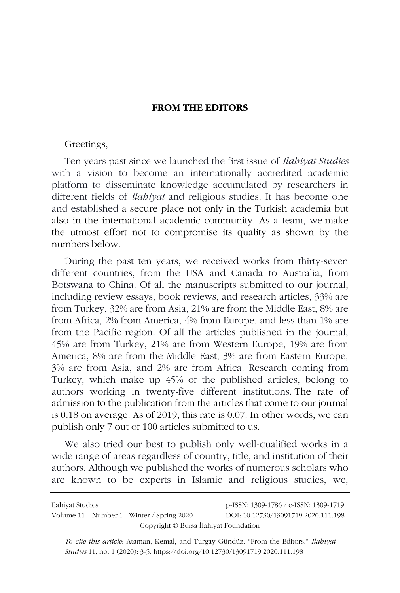## **FROM THE EDITORS**

## Greetings,

Ten years past since we launched the first issue of *Ilahiyat Studies* with a vision to become an internationally accredited academic platform to disseminate knowledge accumulated by researchers in different fields of *ilahiyat* and religious studies. It has become one and established a secure place not only in the Turkish academia but also in the international academic community. As a team, we make the utmost effort not to compromise its quality as shown by the numbers below.

During the past ten years, we received works from thirty-seven different countries, from the USA and Canada to Australia, from Botswana to China. Of all the manuscripts submitted to our journal, including review essays, book reviews, and research articles, 33% are from Turkey, 32% are from Asia, 21% are from the Middle East, 8% are from Africa, 2% from America, 4% from Europe, and less than 1% are from the Pacific region. Of all the articles published in the journal, 45% are from Turkey, 21% are from Western Europe, 19% are from America, 8% are from the Middle East, 3% are from Eastern Europe, 3% are from Asia, and 2% are from Africa. Research coming from Turkey, which make up 45% of the published articles, belong to authors working in twenty-five different institutions. The rate of admission to the publication from the articles that come to our journal is 0.18 on average. As of 2019, this rate is 0.07. In other words, we can publish only 7 out of 100 articles submitted to us.

We also tried our best to publish only well-qualified works in a wide range of areas regardless of country, title, and institution of their authors. Although we published the works of numerous scholars who are known to be experts in Islamic and religious studies, we,

| Ilahiyat Studies                      |  |                                         | p-ISSN: 1309-1786 / e-ISSN: 1309-1719 |
|---------------------------------------|--|-----------------------------------------|---------------------------------------|
|                                       |  | Volume 11 Number 1 Winter / Spring 2020 | DOI: 10.12730/13091719.2020.111.198   |
| Copyright © Bursa Ilahiyat Foundation |  |                                         |                                       |

*To cite this article*: Ataman, Kemal, and Turgay Gündüz. "From the Editors." *Ilahiyat Studies* 11, no. 1 (2020): 3-5. https://doi.org/10.12730/13091719.2020.111.198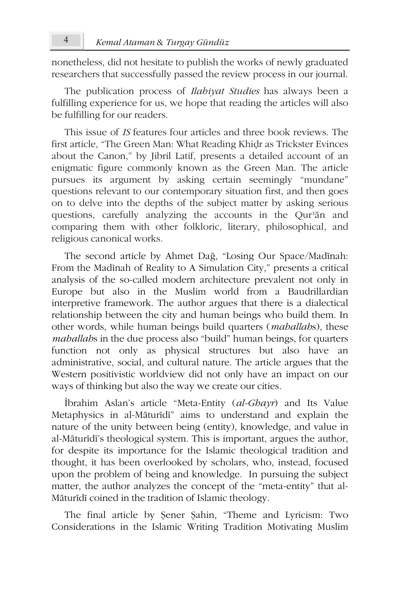nonetheless, did not hesitate to publish the works of newly graduated researchers that successfully passed the review process in our journal.

The publication process of *Ilahiyat Studies* has always been a fulfilling experience for us, we hope that reading the articles will also be fulfilling for our readers.

This issue of *IS* features four articles and three book reviews. The first article, "The Green Man: What Reading Khiḍr as Trickster Evinces about the Canon," by Jibril Latif, presents a detailed account of an enigmatic figure commonly known as the Green Man. The article pursues its argument by asking certain seemingly "mundane" questions relevant to our contemporary situation first, and then goes on to delve into the depths of the subject matter by asking serious questions, carefully analyzing the accounts in the Qurʾān and comparing them with other folkloric, literary, philosophical, and religious canonical works.

The second article by Ahmet Dağ, "Losing Our Space/Madīnah: From the Madīnah of Reality to A Simulation City," presents a critical analysis of the so-called modern architecture prevalent not only in Europe but also in the Muslim world from a Baudrillardian interpretive framework. The author argues that there is a dialectical relationship between the city and human beings who build them. In other words, while human beings build quarters (*mahallah*s), these *mahallah*s in the due process also "build" human beings, for quarters function not only as physical structures but also have an administrative, social, and cultural nature. The article argues that the Western positivistic worldview did not only have an impact on our ways of thinking but also the way we create our cities.

İbrahim Aslan's article "Meta-Entity (*al-Ghayr*) and Its Value Metaphysics in al-Māturīdī" aims to understand and explain the nature of the unity between being (entity), knowledge, and value in al-Māturīdī's theological system. This is important, argues the author, for despite its importance for the Islamic theological tradition and thought, it has been overlooked by scholars, who, instead, focused upon the problem of being and knowledge. In pursuing the subject matter, the author analyzes the concept of the "meta-entity" that al-Māturīdī coined in the tradition of Islamic theology.

The final article by Şener Şahin, "Theme and Lyricism: Two Considerations in the Islamic Writing Tradition Motivating Muslim